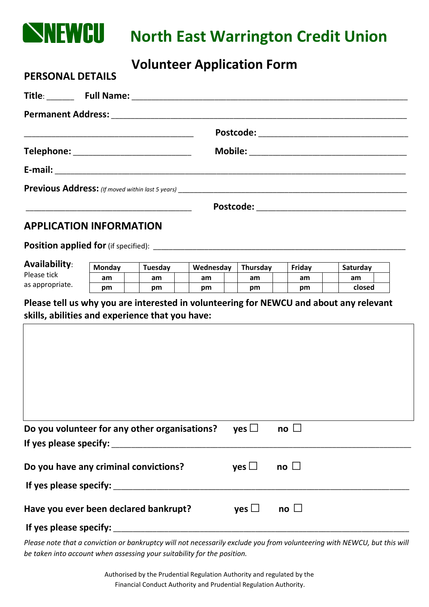

**PERSONAL DETAILS**

## **North East Warrington Credit Union**

## **Volunteer Application Form**

| Telephone: ______________________________ |
|-------------------------------------------|
|                                           |
|                                           |
|                                           |
|                                           |

## **APPLICATION INFORMATION**

**Position applied for**(if specified): \_\_\_\_\_\_\_\_\_\_\_\_\_\_\_\_\_\_\_\_\_\_\_\_\_\_\_\_\_\_\_\_\_\_\_\_\_\_\_\_\_\_\_\_\_\_\_\_\_\_\_\_\_\_\_\_\_\_\_\_\_\_\_\_

| Availability:   | <b>Monday</b> |  | <b>Tuesdav</b> |  | Wednesday |  | <b>Thursdav</b> |  | Friday |  | Saturdav |  |
|-----------------|---------------|--|----------------|--|-----------|--|-----------------|--|--------|--|----------|--|
| Please tick     | am            |  | am             |  | am        |  | am              |  | am     |  | am       |  |
| as appropriate. | pm            |  | рm             |  | pm        |  | рm              |  | pm     |  | closed   |  |

**Please tell us why you are interested in volunteering for NEWCU and about any relevant skills, abilities and experience that you have:**

| Do you volunteer for any other organisations? | yes $\Box$ | no $\square$            |  |
|-----------------------------------------------|------------|-------------------------|--|
|                                               |            |                         |  |
| Do you have any criminal convictions?         | yes $\Box$ | no $\square$            |  |
| If yes please specify: _________              |            |                         |  |
| Have you ever been declared bankrupt?         | yes $\Box$ | $\mathsf{no} \; \sqcup$ |  |
| If yes please specify:                        |            |                         |  |

*Please note that a conviction or bankruptcy will not necessarily exclude you from volunteering with NEWCU, but this will be taken into account when assessing your suitability for the position.*